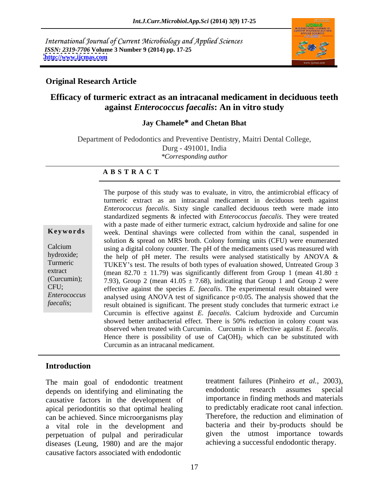International Journal of Current Microbiology and Applied Sciences *ISSN: 2319-7706* **Volume 3 Number 9 (2014) pp. 17-25 <http://www.ijcmas.com>**



#### **Original Research Article**

# **Efficacy of turmeric extract as an intracanal medicament in deciduous teeth against** *Enterococcus faecalis***: An in vitro study**

### **Jay Chamele\* and Chetan Bhat**

Department of Pedodontics and Preventive Dentistry, Maitri Dental College, Durg - 491001, India *\*Corresponding author* 

#### **A B S T R A C T**

**Keywords** week. Dentinal shavings were collected from within the canal, suspended in Calcium using a digital colony counter. The pH of the medicaments used was measured with hydroxide; the help of pH meter. The results were analysed statistically by ANOVA  $\&$ Turmeric TUKEY's test. The results of both types of evaluation showed, Untreated Group 3 extract (mean 82.70  $\pm$  11.79) was significantly different from Group 1 (mean 41.80  $\pm$ (Curcumin);  $(7.93)$ , Group 2 (mean  $41.05 \pm 7.68$ ), indicating that Group 1 and Group 2 were CFU; effective against the species *E. faecalis*. The experimental result obtained were *Enterococcus*  analysed using ANOVA test of significance p<0.05. The analysis showed that the faecalis; result obtained is significant. The present study concludes that turmeric extract i.e The purpose of this study was to evaluate, in vitro, the antimicrobial efficacy of turmeric extract as an intracanal medicament in deciduous teeth against *Enterococcus faecalis*. Sixty single canalled deciduous teeth were made into standardized segments & infected with *Enterococcus faecalis*. They were treated with a paste made of either turmeric extract, calcium hydroxide and saline for one solution & spread on MRS broth. Colony forming units (CFU) were enumerated Curcumin is effective against *E. faecalis*. Calcium hydroxide and Curcumin showed better antibacterial effect. There is 50% reduction in colony count was observed when treated with Curcumin. Curcumin is effective against *E. faecalis.* Hence there is possibility of use of  $Ca(OH)$ <sub>2</sub> which can be substituted with Curcumin as an intracanal medicament.

### **Introduction**

depends on identifying and eliminating the causative factors in the development of apical periodontitis so that optimal healing can be achieved. Since microorganisms play a vital role in the development and perpetuation of pulpal and periradicular diseases (Leung, 1980) and are the major causative factors associated with endodontic

The main goal of endodontic treatment<br>treatment failures (Pinheiro *et al.*, 2003),<br>depends on identifying and eliminating the endodontic research assumes special treatment failures (Pinheiro *et al.,* 2003), endodontic research assumes special importance in finding methods and materials to predictably eradicate root canal infection. Therefore, the reduction and elimination of bacteria and their by-products should be given the utmost importance towards achieving a successful endodontic therapy.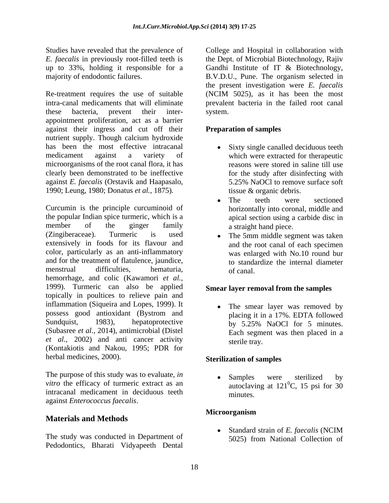Studies have revealed that the prevalence of College and Hospital in collaboration with *E. faecalis* in previously root-filled teeth is the Dept. of Microbial Biotechnology, Rajiv up to 33%, holding it responsible for a Gandhi Institute of IT & Biotechnology, majority of endodontic failures. B.V.D.U., Pune. The organism selected in

Re-treatment requires the use of suitable intra-canal medicaments that will eliminate prevalent bacteria in the failed root canal these bacteria, prevent their inter appointment proliferation, act as a barrier against their ingress and cut off their nutrient supply. Though calcium hydroxide has been the most effective intracanal medicament against a variety of which were extracted for therapeutic microorganisms of the root canal flora, it has clearly been demonstrated to be ineffective against *E. faecalis* (Orstavik and Haapasalo, 1990; Leung, 1980; Donatus *et al.,* 1875)*.*

Curcumin is the principle curcuminoid of the popular Indian spice turmeric, which is a member of the ginger family a straight hand piece. (Zingiberaceae). Turmeric is used extensively in foods for its flavour and color, particularly as an anti-inflammatory and for the treatment of flatulence, jaundice, menstrual difficulties, hematuria, of canal. hemorrhage, and colic (Kawamori *et al.,* 1999). Turmeric can also be applied topically in poultices to relieve pain and inflammation (Siqueira and Lopes, 1999). It possess good antioxidant (Bystrom and placing it in a 17%. EDTA followed Sundquist, 1983), hepatoprotective by 5.25% NaOCl for 5 minutes. (Subasree *et al.,* 2014), antimicrobial (Distel *et al.,* 2002) and anti cancer activity (Kontakiotis and Nakou, 1995; PDR for herbal medicines, 2000).

The purpose of this study was to evaluate, *in*<br>
Samples were sterilized by *vitro* the efficacy of turmeric extract as an intracanal medicament in deciduous teeth minutes. against *Enterococcus faecalis*.

# **Materials and Methods**

Pedodontics, Bharati Vidyapeeth Dental

the present investigation were *E. faecalis* (NCIM 5025), as it has been the most system.

#### **Preparation of samples**

- Sixty single canalled deciduous teeth reasons were stored in saline till use for the study after disinfecting with 5.25% NaOCl to remove surface soft tissue & organic debris.
- The teeth were sectioned  $\bullet$ horizontally into coronal, middle and apical section using a carbide disc in a straight hand piece.
- The 5mm middle segment was taken and the root canal of each specimen was enlarged with No.10 round bur to standardize the internal diameter of canal.

#### **Smear layer removal from the samples**

The smear layer was removed by placing it in a 17%. EDTA followed by 5.25% NaOCl for 5 minutes. Each segment was then placed in a sterile tray.

#### **Sterilization of samples**

Samples were sterilized by autoclaving at  $121^{\circ}$ C, 15 psi for 30  ${}^{0}C$ , 15 psi for 30 minutes.

#### **Microorganism**

The study was conducted in Department of<br>
The study was conducted in Department of<br>  $5025$  from National Collection of Standard strain of *E. faecalis* (NCIM 5025) from National Collection of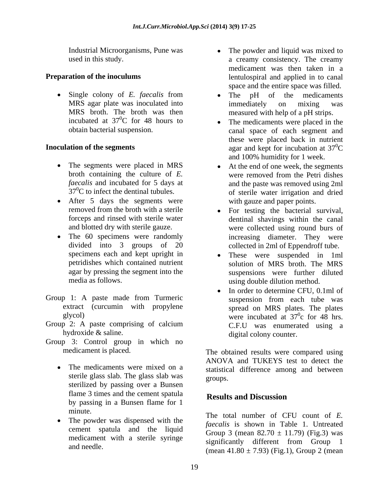Industrial Microorganisms, Pune was

MRS broth. The broth was then<br>incubated at  $37^0C$  for 48 hours to incubated at  $37^0C$  for 48 hours to  $\bullet$  The medicaments were placed in the

- 
- After 5 days the segments were
- 
- Group 1: A paste made from Turmeric suspension from each tube was extract (curcumin with propylene
- Group 2: A paste comprising of calcium<br>
C.F.U was enumerated using a
- Group 3: Control group in which no
	- sterile glass slab. The glass slab was groups. sterilized by passing over a Bunsen flame 3 times and the cement spatula<br>Results and Discussion by passing in a Bunsen flame for 1
	- The powder was dispensed with the cement spatula and the liquid
- used in this study. a creamy consistency. The creamy **Preparation of the inoculums example 1** and applied in to canal The powder and liquid was mixed to medicament was then taken in a space and the entire space was filled.
	- Single colony of *E. faecalis* from  $\bullet$  The pH of the medicaments MRS agar plate was inoculated into the immediately on mixing was The pH of the medicaments immediately on mixing was measured with help of a pH strips.
- obtain bacterial suspension. canal space of each segment and **Inoculation of the segments** agar and kept for incubation at 37<sup>0</sup>C these were placed back in nutrient  $\rm{^{0}C}$ and 100% humidity for 1 week.
	- The segments were placed in MRS At the end of one week, the segments broth containing the culture of *E*. were removed from the Petri dishes *faecalis* and incubated for 5 days at and the paste was removed using 2ml  $37<sup>0</sup>C$  to infect the dentinal tubules.  $\qquad \qquad$  of sterile water irrigation and dried were removed from the Petri dishes with gauze and paper points.
	- removed from the broth with a sterile For testing the bacterial survival, forceps and rinsed with sterile water dentinal shavings within the canal and blotted dry with sterile gauze. were collected using round burs of The 60 specimens were randomly increasing diameter. They were divided into 3 groups of 20 collected in 2ml of Eppendroff tube.
	- specimens each and kept upright in  $\bullet$  These were suspended in 1ml petridishes which contained nutrient solution of MRS broth. The MRS agar by pressing the segment into the suspensions were further diluted media as follows. using double dilution method.
	- In order to determine CFU, 0.1ml of  $\bullet$ suspension from each tube was spread on MRS plates. The plates glycol) were incubated at  $37^\circ$ c for 48 hrs.  $\frac{0}{2}$  for  $\overline{18}$  hrs c for 48 hrs. C.F.U was enumerated using a hydroxide & saline. digital colony counter.

medicament is placed. The obtained results were compared using The medicaments were mixed on a statistical difference among and between ANOVA and TUKEYS test to detect the groups.

# **Results and Discussion**

minute.<br>The total number of CFU count of *E*. medicament with a sterile syringe<br>significantly different from Group 1 and needle. (mean  $41.80 \pm 7.93$ ) (Fig.1), Group 2 (mean *faecalis* is shown in Table 1. Untreated Group 3 (mean  $82.70 \pm 11.79$ ) (Fig.3) was significantly different from Group 1 (mean  $41.80 \pm 7.93$ ) (Fig.1), Group 2 (mean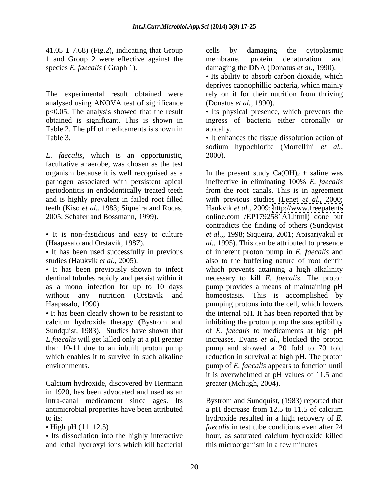$41.05 \pm 7.68$ ) (Fig.2), indicating that Group cells by damaging the cytoplasmic 1 and Group 2 were effective against the membrane, protein denaturation and species *E. faecalis* ( Graph 1). damaging the DNA (Donatus *et al.,* 1990).

The experimental result obtained were analysed using ANOVA test of significance Table 2. The pH of medicaments is shown in apically.

*E. faecalis*, which is an opportunistic, facultative anaerobe, was chosen as the test pathogen associated with persistent apical

calcium hydroxide therapy (Bystrom and

Calcium hydroxide, discovered by Hermann in 1920, has been advocated and used as an

and lethal hydroxyl ions which kill bacterial

cells by damaging the cytoplasmic membrane, protein denaturation and

• Its ability to absorb carbon dioxide, which deprives capnophillic bacteria, which mainly rely on it for their nutrition from thriving (Donatus *et al.,* 1990).

p<0.05. The analysis showed that the result  $\bullet$  Its physical presence, which prevents the obtained is significant. This is shown in ingress of bacteria either coronally or apically.

Table 3.  $\bullet$  It enhances the tissue dissolution action of sodium hypochlorite (Mortellini *et al.,* 2000).

organism because it is well recognised as a  $\qquad$  In the present study Ca(OH)<sub>2</sub> + saline was periodontitis in endodontically treated teeth from the root canals. This is in agreement and is highly prevalent in failed root filled with previous studies (Lenet *et al.,* 2000; teeth (Kiso *et al.*, 1983; Siqueira and Rocas, Haukvik *et al.*, 2009; http://www.freepatents<br>2005; Schafer and Bossmann, 1999). online.com /EP1792581A1.html) done but It is non-fastidious and easy to culture *et al.,*, 1998; Siqueira, 2001; Apisariyakul *et*  (Haapasalo and Orstavik, 1987). *al.,* 1995). This can be attributed to presence It has been used successfully in previous of inherent proton pump in *E. faecalis* and studies (Haukvik *et al.*, 2005). also to the buffering nature of root dentin It has been previously shown to infect which prevents attaining a high alkalinity dentinal tubules rapidly and persist within it enecessary to kill *E. faecalis*. The proton as a mono infection for up to 10 days pump provides a means of maintaining pH without any nutrition (Orstavik and homeostasis. This is accomplished by Haapasalo, 1990). pumping protons into the cell, which lowers It has been clearly shown to be resistant to the internal pH. It has been reported that by Sundquist, 1983). Studies have shown that of *E. faecalis* to medicaments at high pH *E.faecalis* will get killed only at a pH greater increases. Evans *et al.,* blocked the proton than 10-11 due to an inbuilt proton pump pump and showed a 20 fold to 70 fold which enables it to survive in such alkaline reduction in survival at high pH. The proton environments. pump of *E. faecalis* appears to function until ineffective in eliminating 100% *E. faecalis* Haukvik *et al.,* 2009;<http://www.freepatents> online.com /EP1792581A1.html) done but contradicts the finding of others (Sundqvist inhibiting the proton pump the susceptibility it is overwhelmed at pH values of 11.5 and greater (Mchugh, 2004).

intra-canal medicament since ages. Its Bystrom and Sundquist, (1983) reported that antimicrobial properties have been attributed a pH decrease from 12.5 to 11.5 of calcium to its: hydroxide resulted in a high recovery of *E.* High pH (11–12.5) *faecalis* in test tube conditions even after 24 Its dissociation into the highly interactive hour, as saturated calcium hydroxide killed this microorganism in a few minutes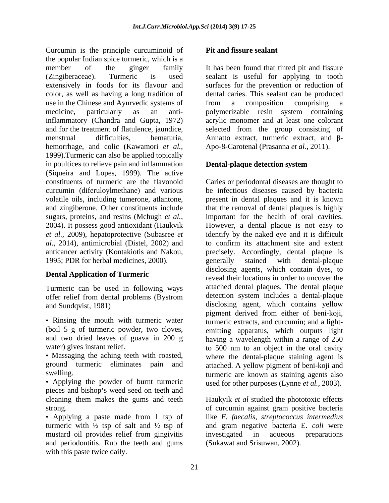Curcumin is the principle curcuminoid of the popular Indian spice turmeric, which is a member of the ginger family It has been found that tinted pit and fissure (Zingiberaceae). Turmeric is used sealant is useful for applying to tooth extensively in foods for its flavour and surfaces for the prevention or reduction of color, as well as having a long tradition of dental caries. This sealant can be produced use in the Chinese and Ayurvedic systems of from a composition comprising a medicine, particularly as an anti-polymerizable resin system containing inflammatory (Chandra and Gupta, 1972) acrylic monomer and at least one colorant and for the treatment of flatulence, jaundice, selected from the group consisting of menstrual difficulties, hematuria, Annatto extract, turmeric extract, and  $\beta$ hemorrhage, and colic (Kawamori *et al.,* 1999).Turmeric can also be applied topically in poultices to relieve pain and inflammation **Dental-plaque detection system** (Siqueira and Lopes, 1999). The active constituents of turmeric are the flavonoid Caries or periodontal diseases are thought to curcumin (diferuloylmethane) and various be infectious diseases caused by bacteria volatile oils, including tumerone, atlantone, present in dental plaques and it is known and zingiberone. Other constituents include that the removal of dental plaques is highly sugars, proteins, and resins (Mchugh *et al.,* important for the health of oral cavities. 2004). It possess good antioxidant (Haukvik However, a dental plaque is not easy to *et al.,* 2009), hepatoprotective (Subasree *et*  identify by the naked eye and it is difficult *al.,* 2014), antimicrobial (Distel, 2002) and

Turmeric can be used in following ways offer relief from dental problems (Bystrom

- 
- 
- Applying the powder of burnt turmeric used for other purposes (Lynne *et al.,* 2003). pieces and bishop's weed seed on teeth and
- mustard oil provides relief from gingivitis investigated in aqueous preparations and periodontitis. Rub the teeth and gums with this paste twice daily.

### **Pit and fissure sealant**

from a composition comprising a Apo-8-Carotenal (Prasanna *et al.,* 2011).

### **Dental-plaque detection system**

anticancer activity (Kontakiotis and Nakou, precisely. Accordingly, dental plaque is 1995; PDR for herbal medicines, 2000). <br>1995; PDR for herbal medicines, 2000). <br>1995; PDR for herbal medicines, 2000). **Dental Application of Turmeric** reveal their locations in order to uncover the and Sundqvist, 1981) disclosing agent, which contains yellow Rinsing the mouth with turmeric water turmeric extracts, and curcumin; and a light- (boil 5 g of turmeric powder, two cloves, emitting apparatus, which outputs light and two dried leaves of guava in 200 g having a wavelength within a range of 250 water) gives instant relief.  $\frac{1}{2}$  to 500 nm to an object in the oral cavity Massaging the aching teeth with roasted, where the dental-plaque staining agent is ground turmeric eliminates pain and attached. A yellow pigment of beni-koji and swelling. turmeric are known as staining agents also to confirm its attachment site and extent precisely. Accordingly, dental plaque is generally stained with dental-plaque disclosing agents, which contain dyes, to attached dental plaques. The dental plaque detection system includes a dental-plaque pigment derived from either of beni-koji,

cleaning them makes the gums and teeth Haukyik *et al* studied the phototoxic effects strong. of curcumin against gram positive bacteria Applying a paste made from 1 tsp of like *E. faecalis*, *streptococcus intermedius*  turmeric with ½ tsp of salt and ½ tsp of and gram negative bacteria E. *coli* were investigated in aqueous preparations (Sukawat and Srisuwan, 2002).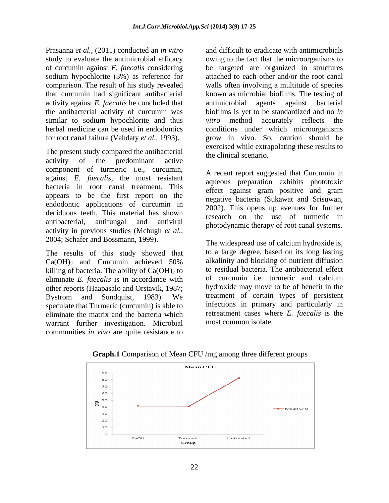Prasanna *et al.,* (2011) conducted an *in vitro* and difficult to eradicate with antimicrobials study to evaluate the antimicrobial efficacy owing to the fact that the microorganisms to of curcumin against *E. faecalis* considering be targeted are organized in structures sodium hypochlorite (3%) as reference for attached to each other and/or the root canal comparison. The result of his study revealed walls often involving a multitude of species that curcumin had significant antibacterial known as microbial biofilms. The testing of activity against *E. faecalis* he concluded that the antibacterial activity of curcumin was biofilms is yet to be standardized and no *in*  similar to sodium hypochlorite and thus *vitro* method accurately reflects the herbal medicine can be used in endodontics conditions under which microorganisms for root canal failure (Vahdaty *et al.,* 1993). grow in vivo. So, caution should be

The present study compared the antibacterial activity of the predominant active the entries securities. component of turmeric i.e., curcumin, against *E. faecalis*, the most resistant bacteria in root canal treatment. This appears to be the first report on the negative bacteria (Sukawat and Srisuwan, endodontic applications of curcumin in a 2002). This opens up avenues for further deciduous teeth. This material has shown antibacterial, antifungal and antiviral photodynamic therms of root canal systems activity in previous studies (Mchugh *et al.,*

killing of bacteria. The ability of  $Ca(OH)<sub>2</sub>$  to eliminate *E. faecalis* is in accordance with other reports (Haapasalo and Orstavik, 1987; speculate that Turmeric (curcumin) is able to eliminate the matrix and the bacteria which warrant further investigation. Microbial communities *in vivo* are quite resistance to

antimicrobial agents against bacterial *vitro* method accurately reflects the exercised while extrapolating these results to the clinical scenario.

A recent report suggested that Curcumin in aqueous preparation exhibits phototoxic effect against gram positive and gram negative bacteria (Sukawat and Srisuwan, 2002). This opens up avenues for further research on the use of turmeric in photodynamic therapy of root canal systems.

2004; Schafer and Bossmann, 1999).<br>The widespread use of calcium hydroxide is,<br>The results of this study showed that to a large degree, based on its long lasting  $Ca(OH)_2$  and Curcumin achieved 50% alkalinity and blocking of nutrient diffusion Bystrom and Sundquist, 1983). We treatment of certain types of persistent The widespread use of calcium hydroxide is, to a large degree, based on its long lasting alkalinity and blocking of nutrient diffusion to residual bacteria. The antibacterial effect of curcumin i.e. turmeric and calcium hydroxide may move to be of benefit in the treatment of certain types of persistent infections in primary and particularly in retreatment cases where *E. faecalis* is the most common isolate.



**Graph.1** Comparison of Mean CFU /mg among three different groups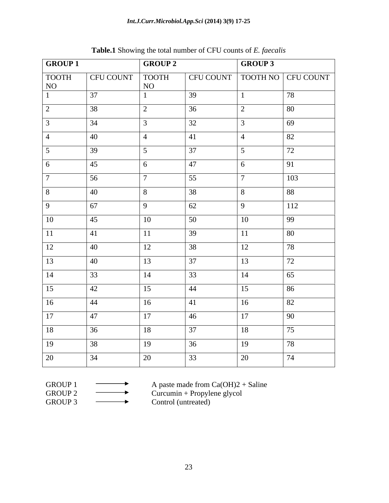| <b>GROUP 1</b>             |                   | <b>GROUP 2</b> |                  | GROUP 3      |                    |
|----------------------------|-------------------|----------------|------------------|--------------|--------------------|
| TOOTH<br>NO                | CFU COUNT   TOOTH | NO             | CFU COUNT        |              | TOOTH NO CFU COUNT |
|                            | 37                |                | 39               |              | 78                 |
| $\gamma$<br>$\overline{a}$ | 38                | 2              | 36               |              | 80                 |
|                            | 34                | $\mathcal{R}$  | 32               |              | 69                 |
|                            | 40                | $\Delta$       | 41               |              | 82                 |
|                            | 39                | 5 <sup>5</sup> | $\frac{37}{3}$   |              | 72                 |
| 6                          | 45                | 6              | $\sqrt{47}$      | -6           | 91                 |
|                            | 56                | $\mathcal{L}$  | 55               |              | 103                |
| 8                          | 40                | 8              | 38               | - 8          | 88                 |
| $\mathbf Q$                | 67                | $\overline{9}$ | 62               | $\Omega$     | 112                |
| 10                         | 45                | 10             | $\vert$ 50       | 10           | 99                 |
| 11                         | 41                | 11             | $\frac{39}{ }$   | 11           | 80                 |
| 12                         | 40                | 12             | 38               | 12           | 78                 |
| 13                         | 40                | 13             | $\sqrt{37}$      | 13           | 72                 |
| 14                         | 33                | 14             | 33               | 14           | 65                 |
| 15                         | 42                | 15             | 44               | 15           | 86                 |
| 16                         | 44                | 16             | 41               | 16           | 82                 |
| 17                         | 47                | 17             | $\vert 46 \vert$ | $\boxed{17}$ | 90                 |
| 18                         | 36                | 18             | 37               | 18           | 75                 |
| 19                         | 38                | 19             | 36               | 19           | 78                 |
| 20                         | 34                | 20             | 33               | 20           | 74                 |

**Table.1** Showing the total number of CFU counts of *E. faecalis*

| <b>GROUP 1</b>     |  |
|--------------------|--|
| GROUP <sub>2</sub> |  |

GROUP 1  $\longrightarrow$  A paste made from Ca(OH)2 + Saline

 $GROUP 2 \longrightarrow$  Curcumin + Propylene glycol

GROUP 3 Control (untreated)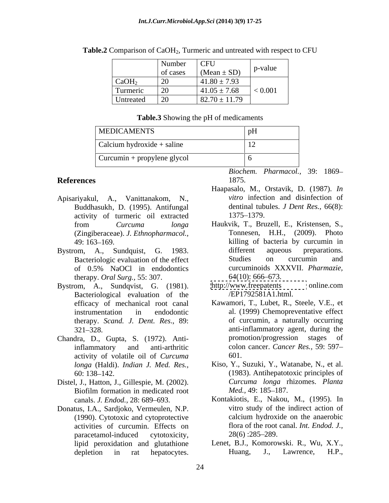|                   | Number                      | $ $ CFU<br>$(Mean \pm SD)$ | p-value<br>$\mathbf{L}$ |
|-------------------|-----------------------------|----------------------------|-------------------------|
|                   | of cases                    |                            |                         |
| CaOH <sub>2</sub> | $\mathbf{A}$<br>$\angle U$  | $41.80 \pm 7.93$           |                         |
| Turmeric          | $\sim$ $\sim$<br>$\angle U$ | $41.05 \pm 7.68$           | < 0.001                 |
| Untreated         | $\angle U$                  | $82.70 \pm 11.79$          |                         |

Table.2 Comparison of CaOH<sub>2</sub>, Turmeric and untreated with respect to CFU

#### **Table.3** Showing the pH of medicaments

| <b>MEDICAMENTS</b>                  |                                            |
|-------------------------------------|--------------------------------------------|
| $\vert$ Calcium hydroxide + saline  | $\overline{ }$<br>$\overline{\phantom{0}}$ |
| $\vert$ Curcumin + propylene glycol |                                            |

- Apisariyakul, A., Vanittanakom, N., Buddhasukh, D. (1995). Antifungal activity of turmeric oil extracted
- therapy. *Oral Surg.,* 55: 307.
- Bacteriological evaluation of the efficacy of mechanical root canal therapy. *Scand. J. Dent. Res*., 89:
- activity of volatile oil of *Curcuma longa* (Haldi). *Indian J. Med. Res.,*
- Distel, J., Hatton, J., Gillespie, M. (2002). Biofilm formation in medicated root Med., 49: 185–187.
- Donatus, I.A., Sardjoko, Vermeulen, N.P. activities of curcumin. Effects on paracetamol-induced cytotoxicity, 28(6):285–289.

**References** 1875.

- Haapasalo, M., Orstavik, D. (1987). *In vitro* infection and disinfection of dentinal tubules. *J Dent Res.,* 66(8): 1375 1379.
- from *Curcuma longa*  (Zingiberaceae). *J. Ethnopharmacol.,* 49: 163 169. killing of bacteria by curcumin in Bystrom, A., Sundquist, G. 1983. different aqueous preparations. Bacteriologic evaluation of the effect Studies on curcumin and of 0.5% NaOCl in endodontics curcuminoids XXXVII. *Pharmazie*, **Fraces Biochem.** Pharmacol., 39: 1869–<br>
Fraces Biochem. Pharmacol., 39: 1869–<br>
Harpasale, M... Orstavik, D. (1995). Antifungal dentinal tobolis J. Dent Res., 66(8):<br>
Iron Curcuma ionga Harschill dentinal tobolis J. Dent R Haukvik, T., Bruzell, E., Kristensen, S., Tonnesen, H.H., (2009). Photo different aqueous preparations. Studies on curcumin and curcuminoids XXXVII. *Pharmazie,*  $64(10)$ : 666–673.
- Bystrom, A., Sundqvist, G. (1981). http://www.freepatents online.com <http://www.freepatents> online.com /EP1792581A1.html.
- instrumentation in endodontic al. (1999) Chemopreventative effect 321 328. anti-inflammatory agent, during the Chandra, D., Gupta, S. (1972). Antiinflammatory and anti-arthritic colon cancer. *Cancer Res.,* 59: 597 Kawamori, T., Lubet, R., Steele, V.E., et of curcumin, a naturally occurring promotion/progression stages of 601.
	- 60: 138 142. (1983). Antihepatotoxic principles of Kiso, Y., Suzuki, Y., Watanabe, N., et al. *Curcuma longa* rhizomes. *Planta Med.,* 49: 185–187.
	- canals. *J. Endod.,* 28: 689 693. Kontakiotis, E., Nakou, M., (1995). In (1990). Cytotoxic and cytoprotective vitro study of the indirect action of calcium hydroxide on the anaerobic flora of the root canal. *Int. Endod. J.,*  $28(6)$ :  $285-289$ .
	- lipid peroxidation and glutathione Lenet, B.J., Komorowski. R., Wu, X.Y., depletion in rat hepatocytes. Huang, J., Lawrence, H.P.,